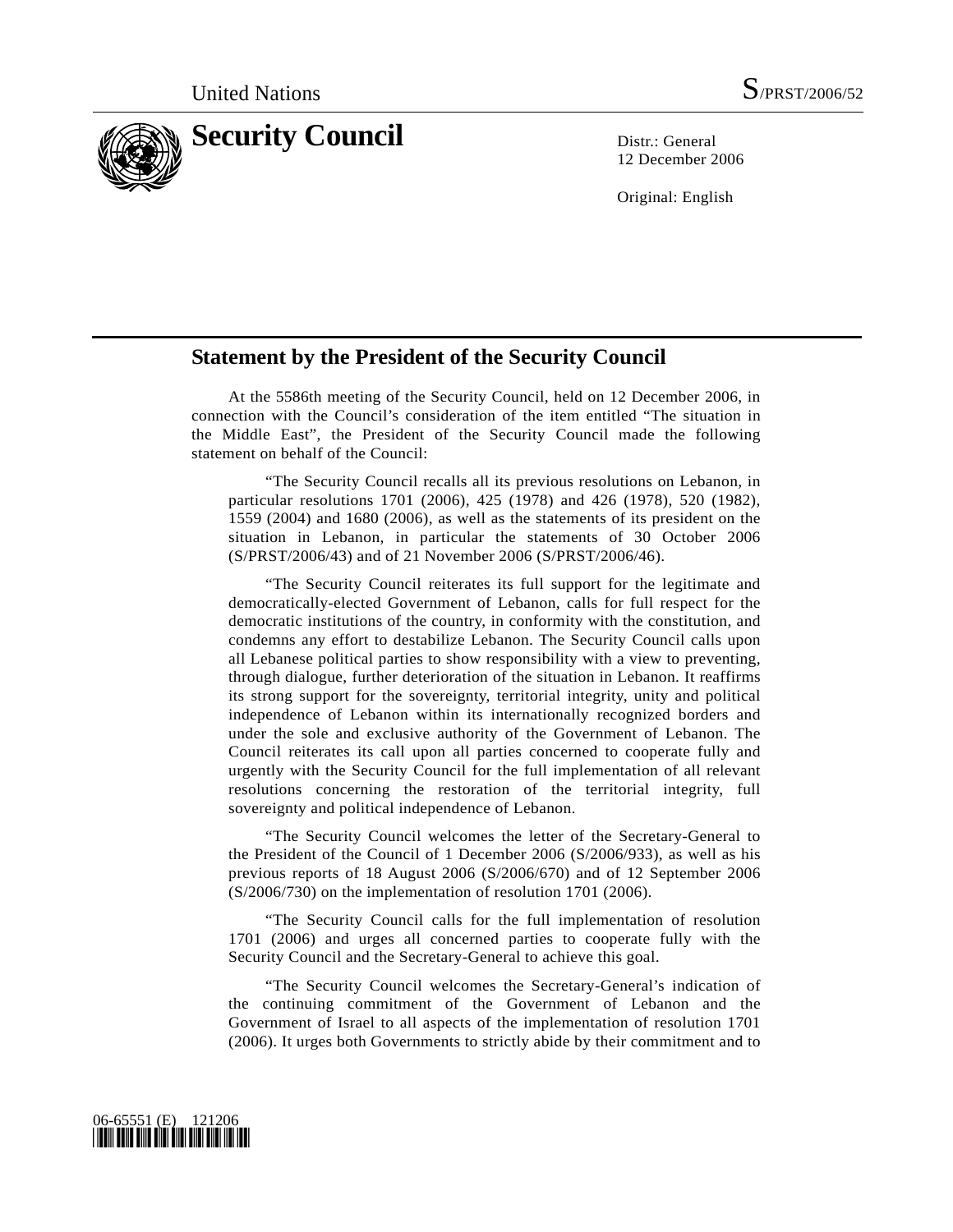

12 December 2006

Original: English

## **Statement by the President of the Security Council**

 At the 5586th meeting of the Security Council, held on 12 December 2006, in connection with the Council's consideration of the item entitled "The situation in the Middle East", the President of the Security Council made the following statement on behalf of the Council:

 "The Security Council recalls all its previous resolutions on Lebanon, in particular resolutions 1701 (2006), 425 (1978) and 426 (1978), 520 (1982), 1559 (2004) and 1680 (2006), as well as the statements of its president on the situation in Lebanon, in particular the statements of 30 October 2006 (S/PRST/2006/43) and of 21 November 2006 (S/PRST/2006/46).

 "The Security Council reiterates its full support for the legitimate and democratically-elected Government of Lebanon, calls for full respect for the democratic institutions of the country, in conformity with the constitution, and condemns any effort to destabilize Lebanon. The Security Council calls upon all Lebanese political parties to show responsibility with a view to preventing, through dialogue, further deterioration of the situation in Lebanon. It reaffirms its strong support for the sovereignty, territorial integrity, unity and political independence of Lebanon within its internationally recognized borders and under the sole and exclusive authority of the Government of Lebanon. The Council reiterates its call upon all parties concerned to cooperate fully and urgently with the Security Council for the full implementation of all relevant resolutions concerning the restoration of the territorial integrity, full sovereignty and political independence of Lebanon.

 "The Security Council welcomes the letter of the Secretary-General to the President of the Council of 1 December 2006 (S/2006/933), as well as his previous reports of 18 August 2006 (S/2006/670) and of 12 September 2006 (S/2006/730) on the implementation of resolution 1701 (2006).

 "The Security Council calls for the full implementation of resolution 1701 (2006) and urges all concerned parties to cooperate fully with the Security Council and the Secretary-General to achieve this goal.

 "The Security Council welcomes the Secretary-General's indication of the continuing commitment of the Government of Lebanon and the Government of Israel to all aspects of the implementation of resolution 1701 (2006). It urges both Governments to strictly abide by their commitment and to

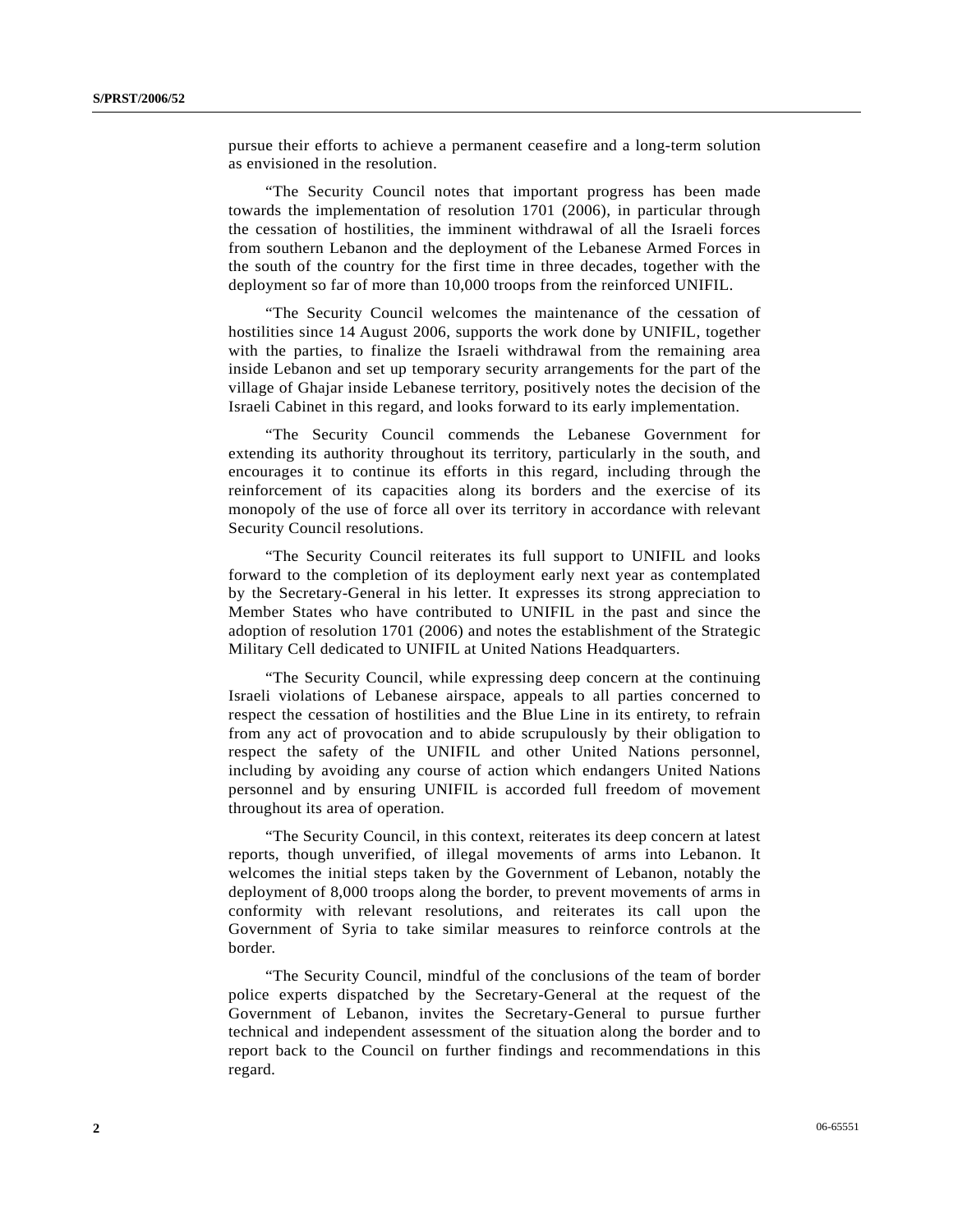pursue their efforts to achieve a permanent ceasefire and a long-term solution as envisioned in the resolution.

 "The Security Council notes that important progress has been made towards the implementation of resolution 1701 (2006), in particular through the cessation of hostilities, the imminent withdrawal of all the Israeli forces from southern Lebanon and the deployment of the Lebanese Armed Forces in the south of the country for the first time in three decades, together with the deployment so far of more than 10,000 troops from the reinforced UNIFIL.

 "The Security Council welcomes the maintenance of the cessation of hostilities since 14 August 2006, supports the work done by UNIFIL, together with the parties, to finalize the Israeli withdrawal from the remaining area inside Lebanon and set up temporary security arrangements for the part of the village of Ghajar inside Lebanese territory, positively notes the decision of the Israeli Cabinet in this regard, and looks forward to its early implementation.

 "The Security Council commends the Lebanese Government for extending its authority throughout its territory, particularly in the south, and encourages it to continue its efforts in this regard, including through the reinforcement of its capacities along its borders and the exercise of its monopoly of the use of force all over its territory in accordance with relevant Security Council resolutions.

 "The Security Council reiterates its full support to UNIFIL and looks forward to the completion of its deployment early next year as contemplated by the Secretary-General in his letter. It expresses its strong appreciation to Member States who have contributed to UNIFIL in the past and since the adoption of resolution 1701 (2006) and notes the establishment of the Strategic Military Cell dedicated to UNIFIL at United Nations Headquarters.

 "The Security Council, while expressing deep concern at the continuing Israeli violations of Lebanese airspace, appeals to all parties concerned to respect the cessation of hostilities and the Blue Line in its entirety, to refrain from any act of provocation and to abide scrupulously by their obligation to respect the safety of the UNIFIL and other United Nations personnel, including by avoiding any course of action which endangers United Nations personnel and by ensuring UNIFIL is accorded full freedom of movement throughout its area of operation.

 "The Security Council, in this context, reiterates its deep concern at latest reports, though unverified, of illegal movements of arms into Lebanon. It welcomes the initial steps taken by the Government of Lebanon, notably the deployment of 8,000 troops along the border, to prevent movements of arms in conformity with relevant resolutions, and reiterates its call upon the Government of Syria to take similar measures to reinforce controls at the border.

 "The Security Council, mindful of the conclusions of the team of border police experts dispatched by the Secretary-General at the request of the Government of Lebanon, invites the Secretary-General to pursue further technical and independent assessment of the situation along the border and to report back to the Council on further findings and recommendations in this regard.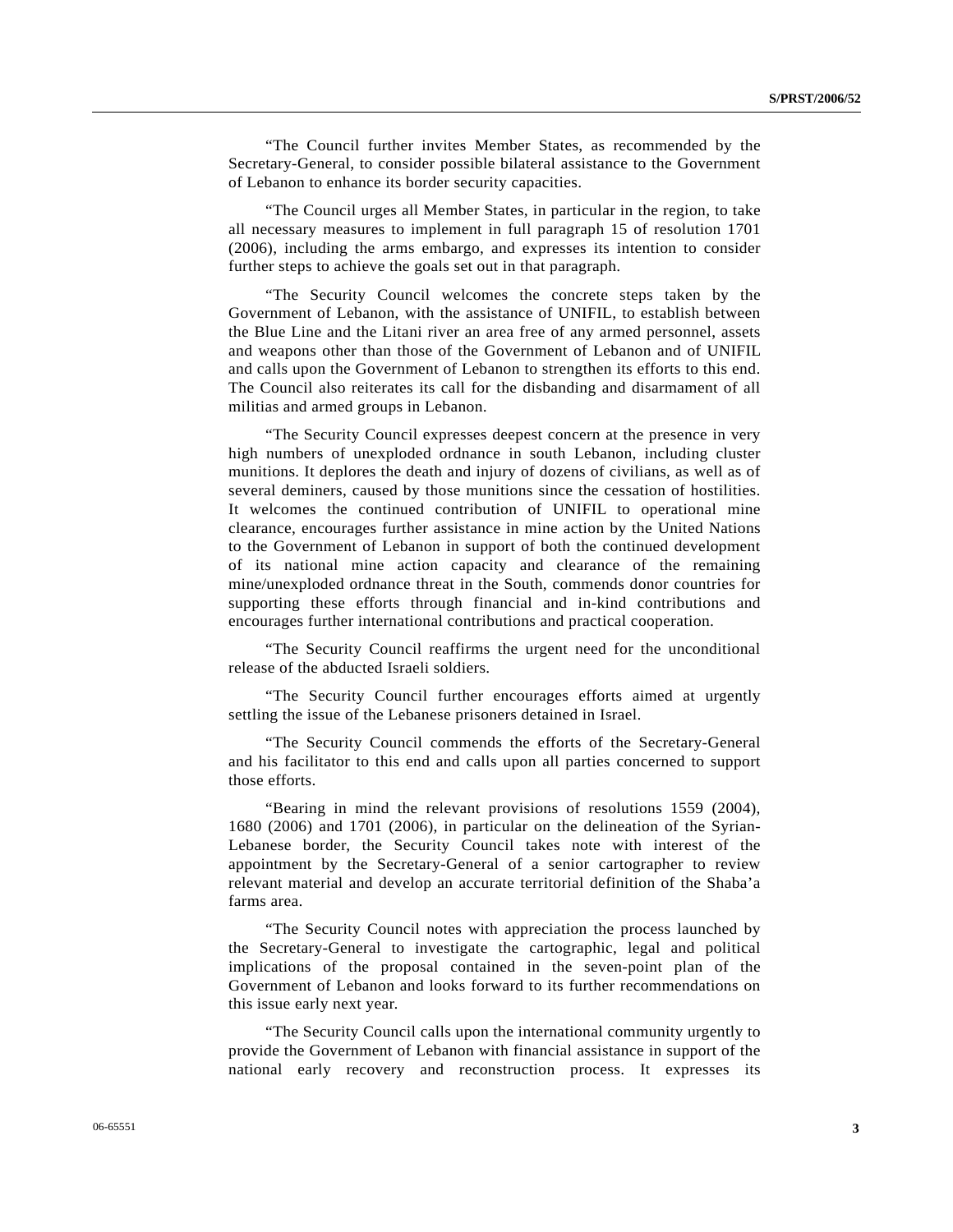"The Council further invites Member States, as recommended by the Secretary-General, to consider possible bilateral assistance to the Government of Lebanon to enhance its border security capacities.

 "The Council urges all Member States, in particular in the region, to take all necessary measures to implement in full paragraph 15 of resolution 1701 (2006), including the arms embargo, and expresses its intention to consider further steps to achieve the goals set out in that paragraph.

 "The Security Council welcomes the concrete steps taken by the Government of Lebanon, with the assistance of UNIFIL, to establish between the Blue Line and the Litani river an area free of any armed personnel, assets and weapons other than those of the Government of Lebanon and of UNIFIL and calls upon the Government of Lebanon to strengthen its efforts to this end. The Council also reiterates its call for the disbanding and disarmament of all militias and armed groups in Lebanon.

 "The Security Council expresses deepest concern at the presence in very high numbers of unexploded ordnance in south Lebanon, including cluster munitions. It deplores the death and injury of dozens of civilians, as well as of several deminers, caused by those munitions since the cessation of hostilities. It welcomes the continued contribution of UNIFIL to operational mine clearance, encourages further assistance in mine action by the United Nations to the Government of Lebanon in support of both the continued development of its national mine action capacity and clearance of the remaining mine/unexploded ordnance threat in the South, commends donor countries for supporting these efforts through financial and in-kind contributions and encourages further international contributions and practical cooperation.

 "The Security Council reaffirms the urgent need for the unconditional release of the abducted Israeli soldiers.

 "The Security Council further encourages efforts aimed at urgently settling the issue of the Lebanese prisoners detained in Israel.

 "The Security Council commends the efforts of the Secretary-General and his facilitator to this end and calls upon all parties concerned to support those efforts.

 "Bearing in mind the relevant provisions of resolutions 1559 (2004), 1680 (2006) and 1701 (2006), in particular on the delineation of the Syrian-Lebanese border, the Security Council takes note with interest of the appointment by the Secretary-General of a senior cartographer to review relevant material and develop an accurate territorial definition of the Shaba'a farms area.

 "The Security Council notes with appreciation the process launched by the Secretary-General to investigate the cartographic, legal and political implications of the proposal contained in the seven-point plan of the Government of Lebanon and looks forward to its further recommendations on this issue early next year.

 "The Security Council calls upon the international community urgently to provide the Government of Lebanon with financial assistance in support of the national early recovery and reconstruction process. It expresses its